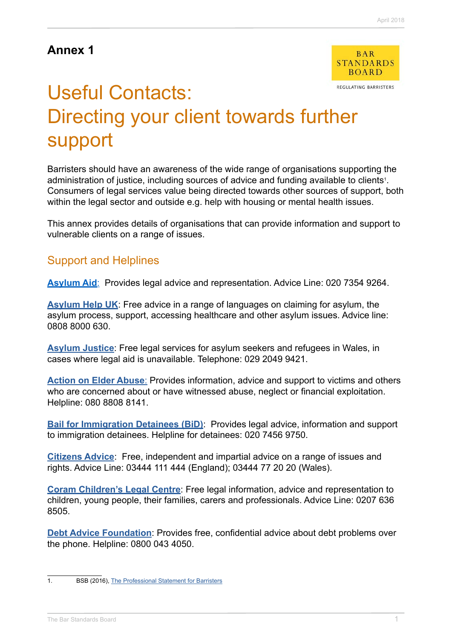## **Annex 1**



REGULATING BARRISTERS

# Useful Contacts: Directing your client towards further support

Barristers should have an awareness of the wide range of organisations supporting the administration of justice, including sources of advice and funding available to clients<sup>1</sup>. Consumers of legal services value being directed towards other sources of support, both within the legal sector and outside e.g. help with housing or mental health issues.

This annex provides details of organisations that can provide information and support to vulnerable clients on a range of issues.

#### Support and Helplines

**[Asylum Aid](http://www.asylumaid.org.uk/)**:Provides legal advice and representation. Advice Line: 020 7354 9264.

**[Asylum Help UK](http://asylumhelpuk.org/our-services/)**: Free advice in a range of languages on claiming for asylum, the asylum process, support, accessing healthcare and other asylum issues. Advice line: 0808 8000 630.

**[Asylum Justice](http://asylumjustice.org.uk/)**: Free legal services for asylum seekers and refugees in Wales, in cases where legal aid is unavailable. Telephone: 029 2049 9421.

**[Action on Elder Abuse](https://www.elderabuse.org.uk/support-services):** Provides information, advice and support to victims and others who are concerned about or have witnessed abuse, neglect or financial exploitation. Helpline: 080 8808 8141.

**[Bail for Immigration Detainees \(BiD\)](http://www.biduk.org/)**:Provides legal advice, information and support to immigration detainees. Helpline for detainees: 020 7456 9750.

**[Citizens Advice](https://www.citizensadvice.org.uk/)**: Free, independent and impartial advice on a range of issues and rights. Advice Line: 03444 111 444 (England); 03444 77 20 20 (Wales).

**[Coram Children's Legal Centre](http://www.childrenslegalcentre.com/index.php?page=home)**: Free legal information, advice and representation to children, young people, their families, carers and professionals. Advice Line: 0207 636 8505.

**[Debt Advice Foundation](http://www.debtadvicefoundation.org/)**: Provides free, confidential advice about debt problems over the phone. Helpline: 0800 043 4050.

<sup>1.</sup> BSB (2016), [The Professional Statement for Barristers](https://www.barstandardsboard.org.uk/media/1787559/bsb_professional_statement_and_competences_2016.pdf)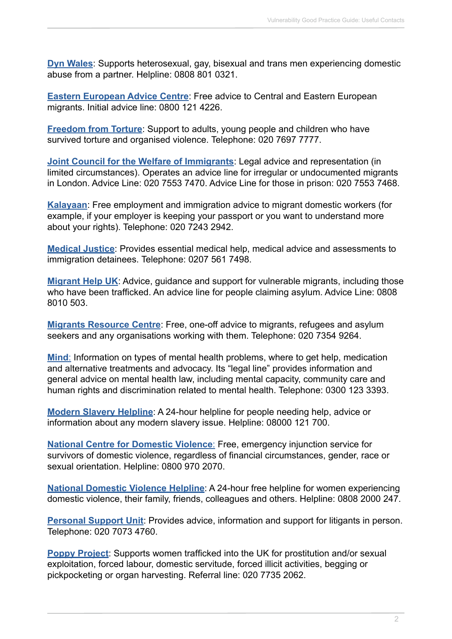**[Dyn Wales](http://www.dynwales.org/)**: Supports heterosexual, gay, bisexual and trans men experiencing domestic abuse from a partner. Helpline: 0808 801 0321.

**[Eastern European Advice Centre](http://www.eeac.org.uk/)**: Free advice to Central and Eastern European migrants. Initial advice line: 0800 121 4226.

**[Freedom from Torture](https://www.freedomfromtorture.org/)**: Support to adults, young people and children who have survived torture and organised violence. Telephone: 020 7697 7777.

**[Joint Council for the Welfare of Immigrants](https://www.jcwi.org.uk/)**: Legal advice and representation (in limited circumstances). Operates an advice line for irregular or undocumented migrants in London. Advice Line: 020 7553 7470. Advice Line for those in prison: 020 7553 7468.

**[Kalayaan](http://www.kalayaan.org.uk/)**: Free employment and immigration advice to migrant domestic workers (for example, if your employer is keeping your passport or you want to understand more about your rights). Telephone: 020 7243 2942.

**[Medical Justice](http://www.medicaljustice.org.uk/)**: Provides essential medical help, medical advice and assessments to immigration detainees. Telephone: 0207 561 7498.

**[Migrant Help UK](http://www.migranthelpuk.org/)**: Advice, guidance and support for vulnerable migrants, including those who have been trafficked. An advice line for people claiming asylum. Advice Line: 0808 8010 503.

**[Migrants Resource Centre](https://www.migrantsresourcecentre.org.uk/)**: Free, one-off advice to migrants, refugees and asylum seekers and any organisations working with them. Telephone: 020 7354 9264.

**[Mind](https://www.mind.org.uk/)**: Information on types of mental health problems, where to get help, medication and alternative treatments and advocacy. Its "legal line" provides information and general advice on mental health law, including mental capacity, community care and human rights and discrimination related to mental health. Telephone: 0300 123 3393.

**[Modern Slavery Helpline](https://www.modernslaveryhelpline.org/)**: A 24-hour helpline for people needing help, advice or information about any modern slavery issue. Helpline: 08000 121 700.

**[National Centre for Domestic Violence](http://www.ncdv.org.uk/)**: Free, emergency injunction service for survivors of domestic violence, regardless of financial circumstances, gender, race or sexual orientation. Helpline: 0800 970 2070.

**[National Domestic Violence Helpline](http://www.nationaldomesticviolencehelpline.org.uk/)**: A 24-hour free helpline for women experiencing domestic violence, their family, friends, colleagues and others. Helpline: 0808 2000 247.

**[Personal Support Unit](https://www.thepsu.org/):** Provides advice, information and support for litigants in person. Telephone: 020 7073 4760.

**[Poppy Project](https://www.helpforvictims.co.uk/content/G82.htm)**: Supports women trafficked into the UK for prostitution and/or sexual exploitation, forced labour, domestic servitude, forced illicit activities, begging or pickpocketing or organ harvesting. Referral line: 020 7735 2062.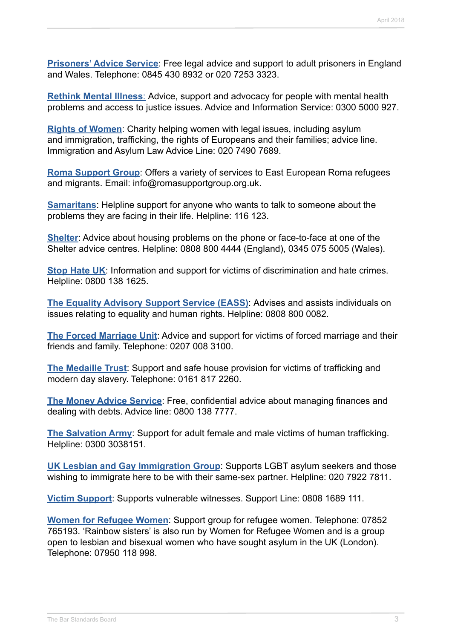**[Prisoners' Advice Service](http://www.prisonersadvice.org.uk/)**: Free legal advice and support to adult prisoners in England and Wales. Telephone: 0845 430 8932 or 020 7253 3323.

**[Rethink](https://www.rethink.org/) Mental Illness**: Advice, support and advocacy for people with mental health problems and access to justice issues. Advice and Information Service: 0300 5000 927.

**[Rights of Women](http://rightsofwomen.org.uk/)**: Charity helping women with legal issues, including asylum and immigration, trafficking, the rights of Europeans and their families; advice line. Immigration and Asylum Law Advice Line: 020 7490 7689.

**[Roma Support Group](http://romasupportgroup.org.uk/)**: Offers a variety of services to East European Roma refugees and migrants. Email: info@romasupportgroup.org.uk.

**[Samaritans](https://www.samaritans.org/)**: Helpline support for anyone who wants to talk to someone about the problems they are facing in their life. Helpline: 116 123.

**[Shelter](http://www.shelter.org.uk/)**: Advice about housing problems on the phone or face-to-face at one of the Shelter advice centres. Helpline: 0808 800 4444 (England), 0345 075 5005 (Wales).

**[Stop Hate UK](http://www.stophateuk.org/)**: Information and support for victims of discrimination and hate crimes. Helpline: 0800 138 1625.

**[The Equality Advisory Support Service \(EASS\)](http://www.equalityadvisoryservice.com/)**: Advises and assists individuals on issues relating to equality and human rights. Helpline: 0808 800 0082.

**[The Forced Marriage Unit](https://www.gov.uk/guidance/forced-marriage)**: Advice and support for victims of forced marriage and their friends and family. Telephone: 0207 008 3100.

**[The Medaille Trust](http://www.medaille-trust.org.uk/)**: Support and safe house provision for victims of trafficking and modern day slavery. Telephone: 0161 817 2260.

**[The Money Advice Service](https://www.moneyadviceservice.org.uk/en)**: Free, confidential advice about managing finances and dealing with debts. Advice line: 0800 138 7777.

**[The Salvation Army](https://www.salvationarmy.org.uk/human-trafficking)**: Support for adult female and male victims of human trafficking. Helpline: 0300 3038151.

**[UK Lesbian and Gay Immigration Group](http://uklgig.org.uk/)**: Supports LGBT asylum seekers and those wishing to immigrate here to be with their same-sex partner. Helpline: 020 7922 7811.

**[Victim Support](https://www.victimsupport.org.uk/)**: Supports vulnerable witnesses. Support Line: 0808 1689 111.

**[Women for Refugee Women](http://www.refugeewomen.co.uk/)**: Support group for refugee women. Telephone: 07852 765193. 'Rainbow sisters' is also run by Women for Refugee Women and is a group open to lesbian and bisexual women who have sought asylum in the UK (London). Telephone: 07950 118 998.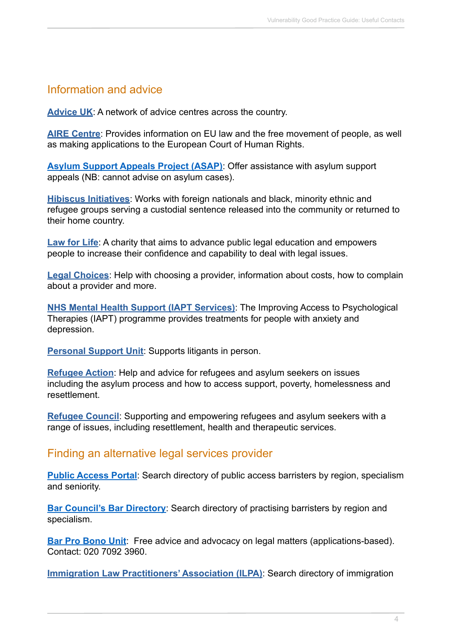### Information and advice

**[Advice UK](http://www.adviceuk.org.uk/looking-for-advice)**: A network of advice centres across the country.

**[AIRE Centre](http://www.airecentre.org/)**: Provides information on EU law and the free movement of people, as well as making applications to the European Court of Human Rights.

**[Asylum Support Appeals Project \(ASAP\)](http://www.asaproject.org/)**: Offer assistance with asylum support appeals (NB: cannot advise on asylum cases).

**[Hibiscus Initiatives](http://hibiscusinitiatives.org.uk/)**: Works with foreign nationals and black, minority ethnic and refugee groups serving a custodial sentence released into the community or returned to their home country.

**[Law for Life](http://www.lawforlife.org.uk/)**: A charity that aims to advance public legal education and empowers people to increase their confidence and capability to deal with legal issues.

**[Legal Choices](http://www.legalchoices.org.uk/)**: Help with choosing a provider, information about costs, how to complain about a provider and more.

**[NHS Mental Health Support \(IAPT Services\)](http://www.nhs.uk/Service-Search/Psychological therapies (IAPT)/LocationSearch/10008)**: The Improving Access to Psychological Therapies (IAPT) programme provides treatments for people with anxiety and depression.

**[Personal Support Unit](https://www.thepsu.org/):** Supports litigants in person.

**[Refugee Action](http://www.refugee-action.org.uk/)**: Help and advice for refugees and asylum seekers on issues including the asylum process and how to access support, poverty, homelessness and resettlement.

**[Refugee Council](https://www.refugeecouncil.org.uk/)**: Supporting and empowering refugees and asylum seekers with a range of issues, including resettlement, health and therapeutic services.

#### Finding an alternative legal services provider

**[Public Access Portal](http://www.directaccessportal.co.uk/)**: Search directory of public access barristers by region, specialism and seniority.

**[Bar Council's Bar Directory](http://www.barcouncil.org.uk/using-a-barrister/find-a-barrister/bar-directory/):** Search directory of practising barristers by region and specialism.

**[Bar Pro Bono Unit](https://barprobono.org.uk/):** Free advice and advocacy on legal matters (applications-based). Contact: 020 7092 3960.

**[Immigration Law Practitioners' Association \(ILPA\)](http://www.ilpa.org.uk/search-directory.php)**: Search directory of immigration